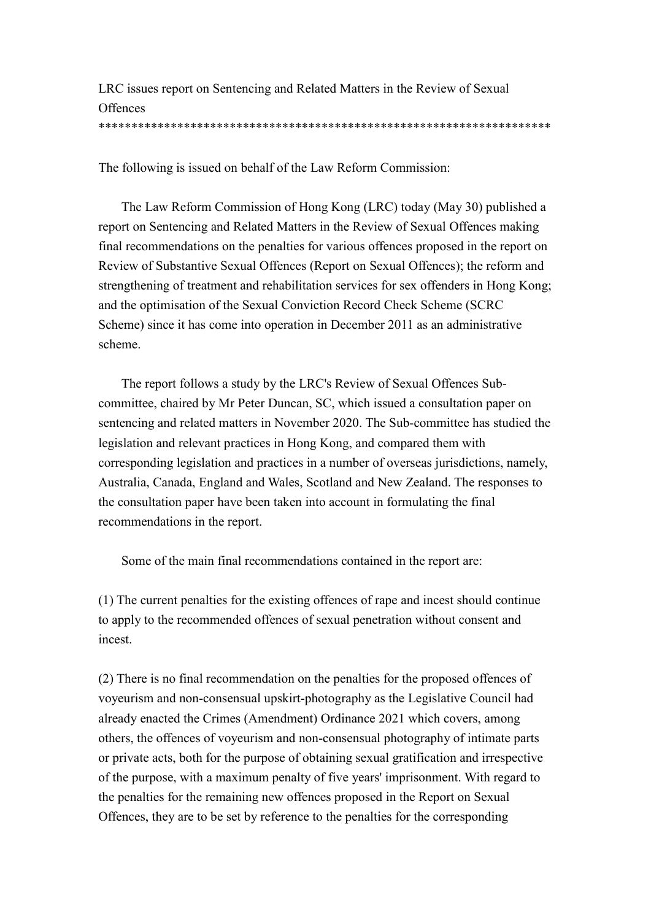LRC issues report on Sentencing and Related Matters in the Review of Sexual **Offences** \*\*\*\*\*\*\*\*\*\*\*\*\*\*\*\*\*\*\*\*\*\*\*\*\*\*\*\*\*\*\*\*\*\*\*\*\*\*\*\*\*\*\*\*\*\*\*\*\*\*\*\*\*\*\*\*\*\*\*\*\*\*\*\*\*\*\*\*\*

The following is issued on behalf of the Law Reform Commission:

The Law Reform Commission of Hong Kong (LRC) today (May 30) published a report on Sentencing and Related Matters in the Review of Sexual Offences making final recommendations on the penalties for various offences proposed in the report on Review of Substantive Sexual Offences (Report on Sexual Offences); the reform and strengthening of treatment and rehabilitation services for sex offenders in Hong Kong; and the optimisation of the Sexual Conviction Record Check Scheme (SCRC Scheme) since it has come into operation in December 2011 as an administrative scheme.

The report follows a study by the LRC's Review of Sexual Offences Subcommittee, chaired by Mr Peter Duncan, SC, which issued a consultation paper on sentencing and related matters in November 2020. The Sub-committee has studied the legislation and relevant practices in Hong Kong, and compared them with corresponding legislation and practices in a number of overseas jurisdictions, namely, Australia, Canada, England and Wales, Scotland and New Zealand. The responses to the consultation paper have been taken into account in formulating the final recommendations in the report.

Some of the main final recommendations contained in the report are:

(1) The current penalties for the existing offences of rape and incest should continue to apply to the recommended offences of sexual penetration without consent and incest.

(2) There is no final recommendation on the penalties for the proposed offences of voyeurism and non-consensual upskirt-photography as the Legislative Council had already enacted the Crimes (Amendment) Ordinance 2021 which covers, among others, the offences of voyeurism and non-consensual photography of intimate parts or private acts, both for the purpose of obtaining sexual gratification and irrespective of the purpose, with a maximum penalty of five years' imprisonment. With regard to the penalties for the remaining new offences proposed in the Report on Sexual Offences, they are to be set by reference to the penalties for the corresponding